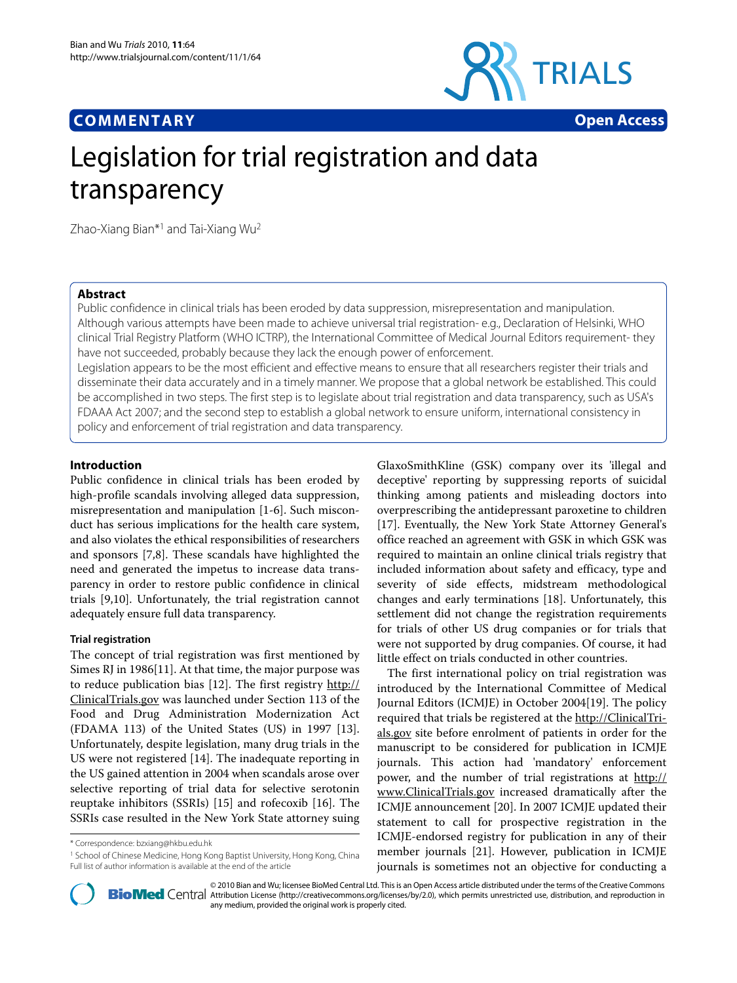# **COMMENTARY Open Access**



# Legislation for trial registration and data transparency

Zhao-Xiang Bian\*1 and Tai-Xiang Wu2

# **Abstract**

Public confidence in clinical trials has been eroded by data suppression, misrepresentation and manipulation. Although various attempts have been made to achieve universal trial registration- e.g., Declaration of Helsinki, WHO clinical Trial Registry Platform (WHO ICTRP), the International Committee of Medical Journal Editors requirement- they have not succeeded, probably because they lack the enough power of enforcement.

Legislation appears to be the most efficient and effective means to ensure that all researchers register their trials and disseminate their data accurately and in a timely manner. We propose that a global network be established. This could be accomplished in two steps. The first step is to legislate about trial registration and data transparency, such as USA's FDAAA Act 2007; and the second step to establish a global network to ensure uniform, international consistency in policy and enforcement of trial registration and data transparency.

# **Introduction**

Public confidence in clinical trials has been eroded by high-profile scandals involving alleged data suppression, misrepresentation and manipulation [[1-](#page-2-0)[6](#page-2-1)]. Such misconduct has serious implications for the health care system, and also violates the ethical responsibilities of researchers and sponsors [\[7](#page-2-2)[,8](#page-2-3)]. These scandals have highlighted the need and generated the impetus to increase data transparency in order to restore public confidence in clinical trials [\[9](#page-2-4),[10](#page-2-5)]. Unfortunately, the trial registration cannot adequately ensure full data transparency.

# **Trial registration**

The concept of trial registration was first mentioned by Simes RJ in 1986[\[11](#page-2-6)]. At that time, the major purpose was to reduce publication bias [[12\]](#page-2-7). The first registry [http://](http://ClinicalTrials.gov) [ClinicalTrials.gov](http://ClinicalTrials.gov) was launched under Section 113 of the Food and Drug Administration Modernization Act (FDAMA 113) of the United States (US) in 1997 [\[13](#page-2-8)]. Unfortunately, despite legislation, many drug trials in the US were not registered [[14\]](#page-2-9). The inadequate reporting in the US gained attention in 2004 when scandals arose over selective reporting of trial data for selective serotonin reuptake inhibitors (SSRIs) [[15](#page-3-0)] and rofecoxib [[16](#page-3-1)]. The SSRIs case resulted in the New York State attorney suing

<sup>1</sup> School of Chinese Medicine, Hong Kong Baptist University, Hong Kong, China Full list of author information is available at the end of the article

GlaxoSmithKline (GSK) company over its 'illegal and deceptive' reporting by suppressing reports of suicidal thinking among patients and misleading doctors into overprescribing the antidepressant paroxetine to children [[17\]](#page-3-2). Eventually, the New York State Attorney General's office reached an agreement with GSK in which GSK was required to maintain an online clinical trials registry that included information about safety and efficacy, type and severity of side effects, midstream methodological changes and early terminations [\[18\]](#page-3-3). Unfortunately, this settlement did not change the registration requirements for trials of other US drug companies or for trials that were not supported by drug companies. Of course, it had little effect on trials conducted in other countries.

The first international policy on trial registration was introduced by the International Committee of Medical Journal Editors (ICMJE) in October 2004[[19\]](#page-3-4). The policy required that trials be registered at the [http://ClinicalTri](http://ClinicalTrials.gov)[als.gov](http://ClinicalTrials.gov) site before enrolment of patients in order for the manuscript to be considered for publication in ICMJE journals. This action had 'mandatory' enforcement power, and the number of trial registrations at [http://](http://www.ClinicalTrials.gov) [www.ClinicalTrials.gov](http://www.ClinicalTrials.gov) increased dramatically after the ICMJE announcement [[20\]](#page-3-5). In 2007 ICMJE updated their statement to call for prospective registration in the ICMJE-endorsed registry for publication in any of their member journals [[21](#page-3-6)]. However, publication in ICMJE journals is sometimes not an objective for conducting a



2010 Bian and Wu; licensee [BioMed](http://www.biomedcentral.com/) Central Ltd. This is an Open Access article distributed under the terms of the Creative Commons (http://creativecommons.org/licenses/by/2.0), which permits unrestricted use, distribution, any medium, provided the original work is properly cited.

<sup>\*</sup> Correspondence: bzxiang@hkbu.edu.hk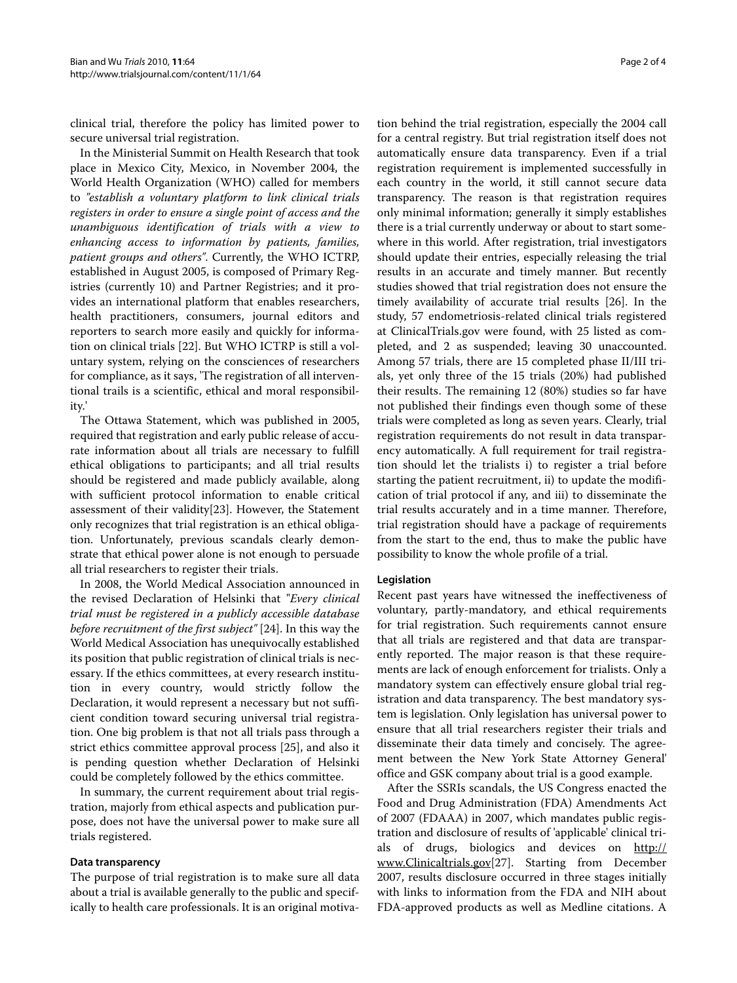clinical trial, therefore the policy has limited power to secure universal trial registration.

In the Ministerial Summit on Health Research that took place in Mexico City, Mexico, in November 2004, the World Health Organization (WHO) called for members to *"establish a voluntary platform to link clinical trials registers in order to ensure a single point of access and the unambiguous identification of trials with a view to enhancing access to information by patients, families, patient groups and others"*. Currently, the WHO ICTRP, established in August 2005, is composed of Primary Registries (currently 10) and Partner Registries; and it provides an international platform that enables researchers, health practitioners, consumers, journal editors and reporters to search more easily and quickly for information on clinical trials [\[22](#page-3-7)]. But WHO ICTRP is still a voluntary system, relying on the consciences of researchers for compliance, as it says, 'The registration of all interventional trails is a scientific, ethical and moral responsibility.'

The Ottawa Statement, which was published in 2005, required that registration and early public release of accurate information about all trials are necessary to fulfill ethical obligations to participants; and all trial results should be registered and made publicly available, along with sufficient protocol information to enable critical assessment of their validity[[23](#page-3-8)]. However, the Statement only recognizes that trial registration is an ethical obligation. Unfortunately, previous scandals clearly demonstrate that ethical power alone is not enough to persuade all trial researchers to register their trials.

In 2008, the World Medical Association announced in the revised Declaration of Helsinki that "*Every clinical trial must be registered in a publicly accessible database before recruitment of the first subject"* [\[24\]](#page-3-9). In this way the World Medical Association has unequivocally established its position that public registration of clinical trials is necessary. If the ethics committees, at every research institution in every country, would strictly follow the Declaration, it would represent a necessary but not sufficient condition toward securing universal trial registration. One big problem is that not all trials pass through a strict ethics committee approval process [[25](#page-3-10)], and also it is pending question whether Declaration of Helsinki could be completely followed by the ethics committee.

In summary, the current requirement about trial registration, majorly from ethical aspects and publication purpose, does not have the universal power to make sure all trials registered.

# **Data transparency**

The purpose of trial registration is to make sure all data about a trial is available generally to the public and specifically to health care professionals. It is an original motiva-

tion behind the trial registration, especially the 2004 call for a central registry. But trial registration itself does not automatically ensure data transparency. Even if a trial registration requirement is implemented successfully in each country in the world, it still cannot secure data transparency. The reason is that registration requires only minimal information; generally it simply establishes there is a trial currently underway or about to start somewhere in this world. After registration, trial investigators should update their entries, especially releasing the trial results in an accurate and timely manner. But recently studies showed that trial registration does not ensure the timely availability of accurate trial results [\[26\]](#page-3-11). In the study, 57 endometriosis-related clinical trials registered at ClinicalTrials.gov were found, with 25 listed as completed, and 2 as suspended; leaving 30 unaccounted. Among 57 trials, there are 15 completed phase II/III trials, yet only three of the 15 trials (20%) had published their results. The remaining 12 (80%) studies so far have not published their findings even though some of these trials were completed as long as seven years. Clearly, trial registration requirements do not result in data transparency automatically. A full requirement for trail registration should let the trialists i) to register a trial before starting the patient recruitment, ii) to update the modification of trial protocol if any, and iii) to disseminate the trial results accurately and in a time manner. Therefore, trial registration should have a package of requirements from the start to the end, thus to make the public have possibility to know the whole profile of a trial.

#### **Legislation**

Recent past years have witnessed the ineffectiveness of voluntary, partly-mandatory, and ethical requirements for trial registration. Such requirements cannot ensure that all trials are registered and that data are transparently reported. The major reason is that these requirements are lack of enough enforcement for trialists. Only a mandatory system can effectively ensure global trial registration and data transparency. The best mandatory system is legislation. Only legislation has universal power to ensure that all trial researchers register their trials and disseminate their data timely and concisely. The agreement between the New York State Attorney General' office and GSK company about trial is a good example.

After the SSRIs scandals, the US Congress enacted the Food and Drug Administration (FDA) Amendments Act of 2007 (FDAAA) in 2007, which mandates public registration and disclosure of results of 'applicable' clinical trials of drugs, biologics and devices on [http://](http://www.Clinicaltrials.gov) [www.Clinicaltrials.gov\[](http://www.Clinicaltrials.gov)[27\]](#page-3-12). Starting from December 2007, results disclosure occurred in three stages initially with links to information from the FDA and NIH about FDA-approved products as well as Medline citations. A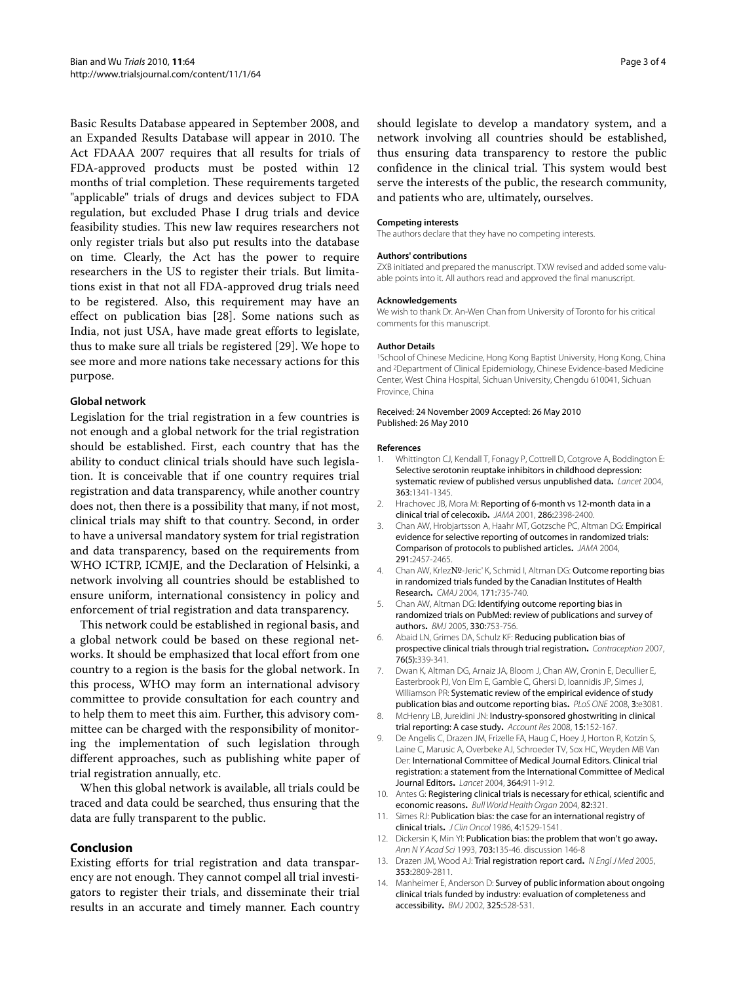Basic Results Database appeared in September 2008, and an Expanded Results Database will appear in 2010. The Act FDAAA 2007 requires that all results for trials of FDA-approved products must be posted within 12 months of trial completion. These requirements targeted "applicable" trials of drugs and devices subject to FDA regulation, but excluded Phase I drug trials and device feasibility studies. This new law requires researchers not only register trials but also put results into the database on time. Clearly, the Act has the power to require researchers in the US to register their trials. But limitations exist in that not all FDA-approved drug trials need to be registered. Also, this requirement may have an effect on publication bias [\[28\]](#page-3-13). Some nations such as India, not just USA, have made great efforts to legislate, thus to make sure all trials be registered [\[29](#page-3-14)]. We hope to see more and more nations take necessary actions for this purpose.

# **Global network**

Legislation for the trial registration in a few countries is not enough and a global network for the trial registration should be established. First, each country that has the ability to conduct clinical trials should have such legislation. It is conceivable that if one country requires trial registration and data transparency, while another country does not, then there is a possibility that many, if not most, clinical trials may shift to that country. Second, in order to have a universal mandatory system for trial registration and data transparency, based on the requirements from WHO ICTRP, ICMJE, and the Declaration of Helsinki, a network involving all countries should be established to ensure uniform, international consistency in policy and enforcement of trial registration and data transparency.

This network could be established in regional basis, and a global network could be based on these regional networks. It should be emphasized that local effort from one country to a region is the basis for the global network. In this process, WHO may form an international advisory committee to provide consultation for each country and to help them to meet this aim. Further, this advisory committee can be charged with the responsibility of monitoring the implementation of such legislation through different approaches, such as publishing white paper of trial registration annually, etc.

When this global network is available, all trials could be traced and data could be searched, thus ensuring that the data are fully transparent to the public.

# **Conclusion**

Existing efforts for trial registration and data transparency are not enough. They cannot compel all trial investigators to register their trials, and disseminate their trial results in an accurate and timely manner. Each country

should legislate to develop a mandatory system, and a network involving all countries should be established, thus ensuring data transparency to restore the public confidence in the clinical trial. This system would best serve the interests of the public, the research community, and patients who are, ultimately, ourselves.

#### **Competing interests**

The authors declare that they have no competing interests.

#### **Authors' contributions**

ZXB initiated and prepared the manuscript. TXW revised and added some valuable points into it. All authors read and approved the final manuscript.

#### **Acknowledgements**

We wish to thank Dr. An-Wen Chan from University of Toronto for his critical comments for this manuscript.

#### **Author Details**

1School of Chinese Medicine, Hong Kong Baptist University, Hong Kong, China and 2Department of Clinical Epidemiology, Chinese Evidence-based Medicine Center, West China Hospital, Sichuan University, Chengdu 610041, Sichuan Province, China

Received: 24 November 2009 Accepted: 26 May 2010 Published: 26 May 2010

#### **References**

- <span id="page-2-0"></span>1. Whittington CJ, Kendall T, Fonagy P, Cottrell D, Cotgrove A, Boddington E: Selective serotonin reuptake inhibitors in childhood depression: systematic review of published versus unpublished data**.** Lancet 2004, 363:1341-1345.
- 2. Hrachovec JB, Mora M: Reporting of 6-month vs 12-month data in a clinical trial of celecoxib**.** JAMA 2001, 286:2398-2400.
- 3. Chan AW, Hrobjartsson A, Haahr MT, Gotzsche PC, Altman DG: Empirical evidence for selective reporting of outcomes in randomized trials: Comparison of protocols to published articles**.** JAMA 2004, 291:2457-2465.
- 4. Chan AW, Krlez№-Jeric' K, Schmid I, Altman DG: Outcome reporting bias in randomized trials funded by the Canadian Institutes of Health Research**.** CMAJ 2004, 171:735-740.
- 5. Chan AW, Altman DG: Identifying outcome reporting bias in randomized trials on PubMed: review of publications and survey of authors**.** BMJ 2005, 330:753-756.
- <span id="page-2-1"></span>6. Abaid LN, Grimes DA, Schulz KF: Reducing publication bias of prospective clinical trials through trial registration**.** Contraception 2007, 76(5):339-341.
- <span id="page-2-2"></span>7. Dwan K, Altman DG, Arnaiz JA, Bloom J, Chan AW, Cronin E, Decullier E, Easterbrook PJ, Von Elm E, Gamble C, Ghersi D, Ioannidis JP, Simes J, Williamson PR: Systematic review of the empirical evidence of study publication bias and outcome reporting bias**.** PLoS ONE 2008, 3:e3081.
- <span id="page-2-3"></span>8. McHenry LB, Jureidini JN: Industry-sponsored ghostwriting in clinical trial reporting: A case study**.** Account Res 2008, 15:152-167.
- <span id="page-2-4"></span>9. De Angelis C, Drazen JM, Frizelle FA, Haug C, Hoey J, Horton R, Kotzin S, Laine C, Marusic A, Overbeke AJ, Schroeder TV, Sox HC, Weyden MB Van Der: International Committee of Medical Journal Editors. Clinical trial registration: a statement from the International Committee of Medical Journal Editors**.** Lancet 2004, 364:911-912.
- <span id="page-2-5"></span>10. Antes G: Registering clinical trials is necessary for ethical, scientific and economic reasons**.** Bull World Health Organ 2004, 82:321.
- <span id="page-2-6"></span>11. Simes RJ: Publication bias: the case for an international registry of clinical trials**.** J Clin Oncol 1986, 4:1529-1541.
- <span id="page-2-7"></span>12. Dickersin K, Min YI: Publication bias: the problem that won't go away**.** Ann N Y Acad Sci 1993, 703:135-46. discussion 146-8
- <span id="page-2-8"></span>13. Drazen JM, Wood AJ: Trial registration report card**[.](http://www.ncbi.nlm.nih.gov/entrez/query.fcgi?cmd=Retrieve&db=PubMed&dopt=Abstract&list_uids=16382069)** N Engl J Med 2005, 353:2809-2811.
- <span id="page-2-9"></span>14. Manheimer E, Anderson D: Survey of public information about ongoing clinical trials funded by industry: evaluation of completeness and accessibility**.** BMJ 2002, 325:528-531.